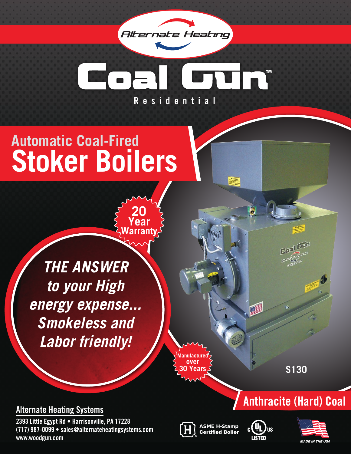

# **R e s i d e n t i a l**

# **Automatic Coal-Fired Stoker Boilers**

**20 Year Warranty**

*THE ANSWER to your High energy expense... Smokeless and Labor friendly!*

**Manufacture over 30 Years**

**S130**

**Anthracite (Hard) Coal**

#### **Alternate Heating Systems**

**2393 Little Egypt Rd • Harrisonville, PA 17228 (717) 987-0099 • sales@alternateheatingsystems.com www.woodgun.com**

ASME H-Stamp Certified Boiler



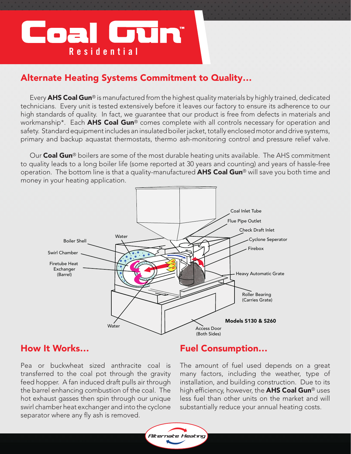# Coal Gun® **Residential**

#### Alternate Heating Systems Commitment to Quality…

Every  $A$ HS Coal Gun® is manufactured from the highest quality materials by highly trained, dedicated technicians. Every unit is tested extensively before it leaves our factory to ensure its adherence to our high standards of quality. In fact, we guarantee that our product is free from defects in materials and workmanship<sup>\*</sup>. Each **AHS Coal Gun**<sup>®</sup> comes complete with all controls necessary for operation and safety. Standard equipment includes an insulated boiler jacket, totally enclosed motor and drive systems, primary and backup aquastat thermostats, thermo ash-monitoring control and pressure relief valve.

Our **Coal Gun**<sup>®</sup> boilers are some of the most durable heating units available. The AHS commitment to quality leads to a long boiler life (some reported at 30 years and counting) and years of hassle-free operation. The bottom line is that a quality-manufactured **AHS Coal Gun**® will save you both time and money in your heating application.



#### How It Works…

Pea or buckwheat sized anthracite coal is transferred to the coal pot through the gravity feed hopper. A fan induced draft pulls air through the barrel enhancing combustion of the coal. The hot exhaust gasses then spin through our unique swirl chamber heat exchanger and into the cyclone separator where any fly ash is removed.

#### Fuel Consumption…

The amount of fuel used depends on a great many factors, including the weather, type of installation, and building construction. Due to its high efficiency, however, the **AHS Coal Gun**® uses less fuel than other units on the market and will substantially reduce your annual heating costs.

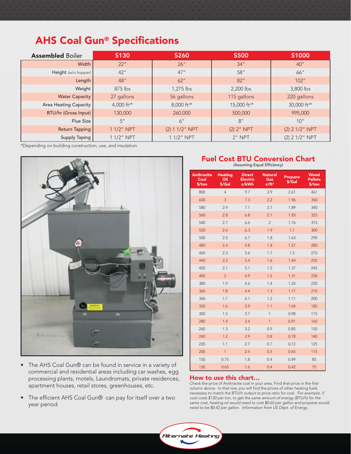## AHS Coal Gun® Specifications

| <b>Assembled Boiler</b>     | S130                   | <b>S260</b>            | <b>S500</b>             | S1000                   |
|-----------------------------|------------------------|------------------------|-------------------------|-------------------------|
| Width                       | 22"                    | 26''                   | 34''                    | 40''                    |
| Height (w/o hopper)         | 42''                   | 47''                   | 58''                    | 66"                     |
| Length                      | 48''                   | 62"                    | 82"                     | 102"                    |
| Weight                      | $875$ lbs              | 1,275 lbs              | 2,200 lbs               | 3,800 lbs               |
| <b>Water Capacity</b>       | 27 gallons             | 56 gallons             | 115 gallons             | 220 gallons             |
| Area Heating Capacity       | 4,000 ft <sup>2*</sup> | 8,000 ft <sup>2*</sup> | 15,000 ft <sup>2*</sup> | 30,000 ft <sup>2*</sup> |
| <b>BTU/hr (Gross Input)</b> | 130,000                | 260,000                | 500,000                 | 995,000                 |
| Flue Size                   | 5''                    | 6''                    | 8''                     | 10''                    |
| <b>Return Tapping</b>       | 1 1/2" NPT             | (2) 1 1/2" NPT         | $(2)$ 2" NPT            | $(2)$ 2 1/2" NPT        |
| Supply Taping               | 1 1/2" NPT             | 1 1/2" NPT             | 2" NPT                  | (2) 2 1/2" NPT          |

\*Depending on building construction, use, and insulation.



- The AHS Coal Gun® can be found in service in a variety of commercial and residential areas including car washes, egg processing plants, motels, Laundromats, private residences, apartment houses, retail stores, greenhouses, etc.
- The efficient AHS Coal Gun® can pay for itself over a two year period

## Fuel Cost BTU Conversion Chart (Assuming Equal Efficiency)

| <b>Anthracite</b><br>Coal<br>\$/ton | <b>Heating</b><br>Oil<br>\$/Gal | <b>Direct</b><br><b>Electric</b><br>¢/kWh | <b>Natural</b><br>Gas<br>$\epsilon$ /ft <sup>3</sup> | <b>Propane</b><br>\$/Gal | <b>Wood</b><br><b>Pellets</b><br>\$/ton |
|-------------------------------------|---------------------------------|-------------------------------------------|------------------------------------------------------|--------------------------|-----------------------------------------|
| 800                                 | $\overline{4}$                  | 9.7                                       | 2.9                                                  | 2.61                     | 467                                     |
| 600                                 | 3                               | 7.3                                       | 2.2                                                  | 1.96                     | 350                                     |
| 580                                 | 2.9                             | 7.1                                       | 2.1                                                  | 1.89                     | 340                                     |
| 560                                 | 2.8                             | 6.8                                       | 2.1                                                  | 1.83                     | 325                                     |
| 540                                 | 2.7                             | 6.6                                       | $\overline{2}$                                       | 1.76                     | 315                                     |
| 520                                 | 2.6                             | 6.3                                       | 1.9                                                  | 1.7                      | 300                                     |
| 500                                 | 2.5                             | 6.1                                       | 1.8                                                  | 1.63                     | 290                                     |
| 480                                 | 2.4                             | 5.8                                       | 1.8                                                  | 1.57                     | 280                                     |
| 460                                 | 2.3                             | 5.6                                       | 1.7                                                  | 1.5                      | 270                                     |
| 440                                 | 2.2                             | 5.4                                       | 1.6                                                  | 1.44                     | 255                                     |
| 420                                 | 2.1                             | 5.1                                       | 1.5                                                  | 1.37                     | 245                                     |
| 400                                 | $\overline{2}$                  | 4.9                                       | 1.5                                                  | 1.31                     | 230                                     |
| 380                                 | 1.9                             | 4.6                                       | 1.4                                                  | 1.24                     | 220                                     |
| 360                                 | 1.8                             | 4.4                                       | 1.3                                                  | 1.17                     | 210                                     |
| 340                                 | 1.7                             | 4.1                                       | 1.2                                                  | 1.11                     | 200                                     |
| 320                                 | 1.6                             | 3.9                                       | 1.1                                                  | 1.04                     | 185                                     |
| 300                                 | 1.5                             | 3.7                                       | $\mathbf{1}$                                         | 0.98                     | 175                                     |
| 280                                 | 1.4                             | 3.4                                       | $\mathbf{1}$                                         | 0.91                     | 160                                     |
| 260                                 | 1.3                             | 3.2                                       | 0.9                                                  | 0.85                     | 150                                     |
| 240                                 | 1.2                             | 2.9                                       | 0.8                                                  | 0.78                     | 140                                     |
| 220                                 | 1.1                             | 2.7                                       | 0.7                                                  | 0.72                     | 125                                     |
| 200                                 | $\mathbf{1}$                    | 2.4                                       | 0.5                                                  | 0.65                     | 115                                     |
| 150                                 | 0.75                            | 1.8                                       | 0.4                                                  | 0.49                     | 85                                      |
| 130                                 | 0.65                            | 1.6                                       | 0.4                                                  | 0.42                     | 75                                      |

#### How to use this chart…

Check the price of Anthracite coal in your area. Find that price in the first column above. In that row, you will find the prices of other heating fuels necessary to match the BTU/h output to price ratio for coal. *For example, if coal costs \$130 per ton, to get the same amount of energy (BTU/h) for the same cost, heating oil would need to cost \$0.65 per gallon and propane would need to be \$0.42 per gallon. Information from US Dept. of Energy.*